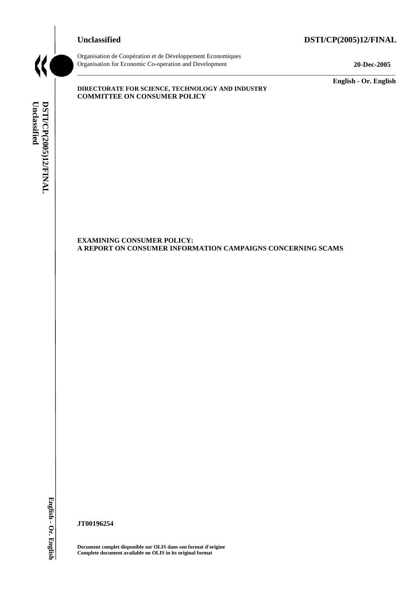# **Unclassified DSTI/CP(2005)12/FINAL**



Organisation de Coopération et de Développement Economiques Organisation for Economic Co-operation and Development **20-Dec-2005** 

\_\_\_\_\_\_\_\_\_\_\_\_\_ **English - Or. English** 

**DIRECTORATE FOR SCIENCE, TECHNOLOGY AND INDUSTRY COMMITTEE ON CONSUMER POLICY** 

Unclassified DSTI/CP(2005)12/FINAL **Unclassified DSTI/CP(2005)12/FINAL English - Or. English**

**EXAMINING CONSUMER POLICY: A REPORT ON CONSUMER INFORMATION CAMPAIGNS CONCERNING SCAMS** 

\_\_\_\_\_\_\_\_\_\_\_\_\_\_\_\_\_\_\_\_\_\_\_\_\_\_\_\_\_\_\_\_\_\_\_\_\_\_\_\_\_\_\_\_\_\_\_\_\_\_\_\_\_\_\_\_\_\_\_\_\_\_\_\_\_\_\_\_\_\_\_\_\_\_\_\_\_\_\_\_\_\_\_\_\_\_\_\_\_\_\_

**JT00196254** 

**Document complet disponible sur OLIS dans son format d'origine Complete document available on OLIS in its original format**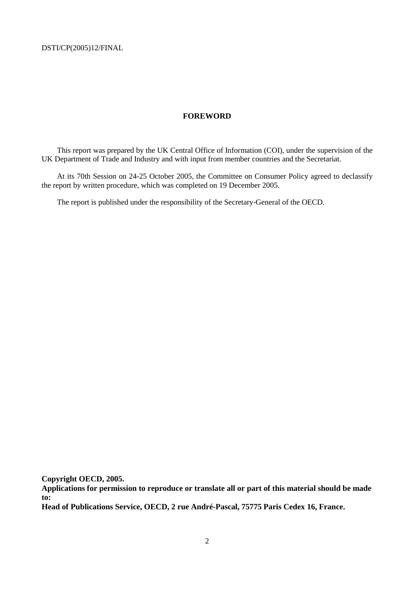#### **FOREWORD**

This report was prepared by the UK Central Office of Information (COI), under the supervision of the UK Department of Trade and Industry and with input from member countries and the Secretariat.

At its 70th Session on 24-25 October 2005, the Committee on Consumer Policy agreed to declassify the report by written procedure, which was completed on 19 December 2005.

The report is published under the responsibility of the Secretary-General of the OECD.

**Copyright OECD, 2005.** 

**Applications for permission to reproduce or translate all or part of this material should be made to:** 

**Head of Publications Service, OECD, 2 rue André-Pascal, 75775 Paris Cedex 16, France.**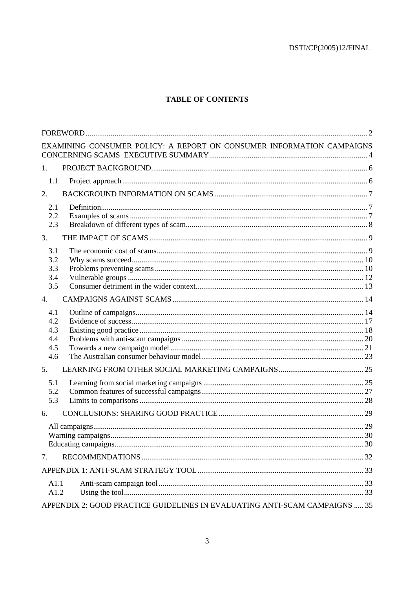# **TABLE OF CONTENTS**

|                  | EXAMINING CONSUMER POLICY: A REPORT ON CONSUMER INFORMATION CAMPAIGNS      |  |
|------------------|----------------------------------------------------------------------------|--|
| 1.               |                                                                            |  |
| 1.1              |                                                                            |  |
| 2.               |                                                                            |  |
| 2.1              |                                                                            |  |
| 2.2              |                                                                            |  |
| 2.3              |                                                                            |  |
| 3.               |                                                                            |  |
| 3.1              |                                                                            |  |
| 3.2              |                                                                            |  |
| 3.3              |                                                                            |  |
| 3.4              |                                                                            |  |
| 3.5              |                                                                            |  |
| $\overline{4}$ . |                                                                            |  |
| 4.1              |                                                                            |  |
| 4.2              |                                                                            |  |
| 4.3<br>4.4       |                                                                            |  |
| 4.5              |                                                                            |  |
| 4.6              |                                                                            |  |
| 5.               |                                                                            |  |
|                  |                                                                            |  |
| 5.1<br>5.2       |                                                                            |  |
| 5.3              |                                                                            |  |
| 6.               |                                                                            |  |
|                  |                                                                            |  |
|                  |                                                                            |  |
|                  |                                                                            |  |
| 7.               |                                                                            |  |
|                  |                                                                            |  |
| A1.1             |                                                                            |  |
| A1.2             |                                                                            |  |
|                  | APPENDIX 2: GOOD PRACTICE GUIDELINES IN EVALUATING ANTI-SCAM CAMPAIGNS  35 |  |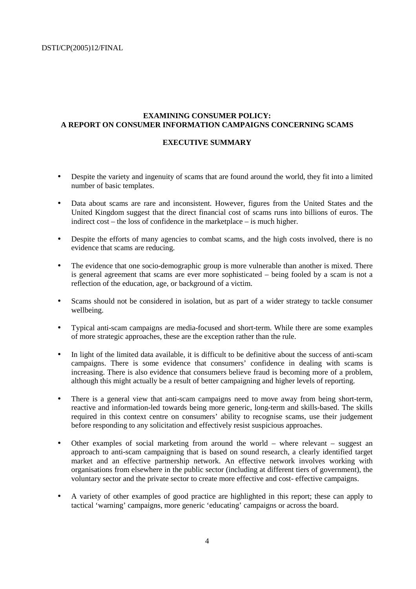#### **EXAMINING CONSUMER POLICY: A REPORT ON CONSUMER INFORMATION CAMPAIGNS CONCERNING SCAMS**

#### **EXECUTIVE SUMMARY**

- Despite the variety and ingenuity of scams that are found around the world, they fit into a limited number of basic templates.
- Data about scams are rare and inconsistent. However, figures from the United States and the United Kingdom suggest that the direct financial cost of scams runs into billions of euros. The indirect cost – the loss of confidence in the marketplace – is much higher.
- Despite the efforts of many agencies to combat scams, and the high costs involved, there is no evidence that scams are reducing.
- The evidence that one socio-demographic group is more vulnerable than another is mixed. There is general agreement that scams are ever more sophisticated – being fooled by a scam is not a reflection of the education, age, or background of a victim.
- Scams should not be considered in isolation, but as part of a wider strategy to tackle consumer wellbeing.
- Typical anti-scam campaigns are media-focused and short-term. While there are some examples of more strategic approaches, these are the exception rather than the rule.
- In light of the limited data available, it is difficult to be definitive about the success of anti-scam campaigns. There is some evidence that consumers' confidence in dealing with scams is increasing. There is also evidence that consumers believe fraud is becoming more of a problem, although this might actually be a result of better campaigning and higher levels of reporting.
- There is a general view that anti-scam campaigns need to move away from being short-term, reactive and information-led towards being more generic, long-term and skills-based. The skills required in this context centre on consumers' ability to recognise scams, use their judgement before responding to any solicitation and effectively resist suspicious approaches.
- Other examples of social marketing from around the world where relevant suggest an approach to anti-scam campaigning that is based on sound research, a clearly identified target market and an effective partnership network. An effective network involves working with organisations from elsewhere in the public sector (including at different tiers of government), the voluntary sector and the private sector to create more effective and cost- effective campaigns.
- A variety of other examples of good practice are highlighted in this report; these can apply to tactical 'warning' campaigns, more generic 'educating' campaigns or across the board.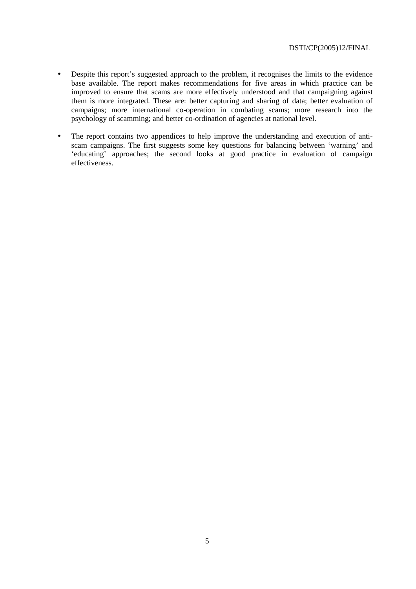- Despite this report's suggested approach to the problem, it recognises the limits to the evidence base available. The report makes recommendations for five areas in which practice can be improved to ensure that scams are more effectively understood and that campaigning against them is more integrated. These are: better capturing and sharing of data; better evaluation of campaigns; more international co-operation in combating scams; more research into the psychology of scamming; and better co-ordination of agencies at national level.
- The report contains two appendices to help improve the understanding and execution of antiscam campaigns. The first suggests some key questions for balancing between 'warning' and 'educating' approaches; the second looks at good practice in evaluation of campaign effectiveness.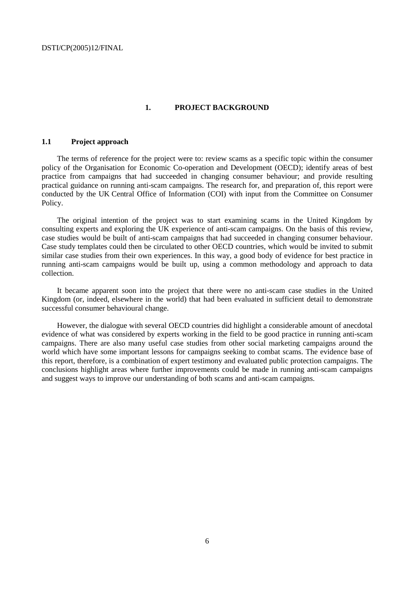#### **1. PROJECT BACKGROUND**

#### **1.1 Project approach**

The terms of reference for the project were to: review scams as a specific topic within the consumer policy of the Organisation for Economic Co-operation and Development (OECD); identify areas of best practice from campaigns that had succeeded in changing consumer behaviour; and provide resulting practical guidance on running anti-scam campaigns. The research for, and preparation of, this report were conducted by the UK Central Office of Information (COI) with input from the Committee on Consumer Policy.

The original intention of the project was to start examining scams in the United Kingdom by consulting experts and exploring the UK experience of anti-scam campaigns. On the basis of this review, case studies would be built of anti-scam campaigns that had succeeded in changing consumer behaviour. Case study templates could then be circulated to other OECD countries, which would be invited to submit similar case studies from their own experiences. In this way, a good body of evidence for best practice in running anti-scam campaigns would be built up, using a common methodology and approach to data collection.

It became apparent soon into the project that there were no anti-scam case studies in the United Kingdom (or, indeed, elsewhere in the world) that had been evaluated in sufficient detail to demonstrate successful consumer behavioural change.

However, the dialogue with several OECD countries did highlight a considerable amount of anecdotal evidence of what was considered by experts working in the field to be good practice in running anti-scam campaigns. There are also many useful case studies from other social marketing campaigns around the world which have some important lessons for campaigns seeking to combat scams. The evidence base of this report, therefore, is a combination of expert testimony and evaluated public protection campaigns. The conclusions highlight areas where further improvements could be made in running anti-scam campaigns and suggest ways to improve our understanding of both scams and anti-scam campaigns.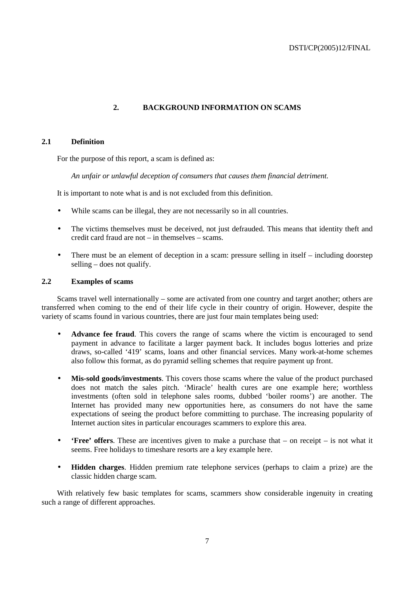### **2. BACKGROUND INFORMATION ON SCAMS**

#### **2.1 Definition**

For the purpose of this report, a scam is defined as:

*An unfair or unlawful deception of consumers that causes them financial detriment.* 

It is important to note what is and is not excluded from this definition.

- While scams can be illegal, they are not necessarily so in all countries.
- The victims themselves must be deceived, not just defrauded. This means that identity theft and credit card fraud are not – in themselves – scams.
- There must be an element of deception in a scam: pressure selling in itself including doorstep selling – does not qualify.

#### **2.2 Examples of scams**

Scams travel well internationally – some are activated from one country and target another; others are transferred when coming to the end of their life cycle in their country of origin. However, despite the variety of scams found in various countries, there are just four main templates being used:

- **Advance fee fraud**. This covers the range of scams where the victim is encouraged to send payment in advance to facilitate a larger payment back. It includes bogus lotteries and prize draws, so-called '419' scams, loans and other financial services. Many work-at-home schemes also follow this format, as do pyramid selling schemes that require payment up front.
- **Mis-sold goods/investments**. This covers those scams where the value of the product purchased does not match the sales pitch. 'Miracle' health cures are one example here; worthless investments (often sold in telephone sales rooms, dubbed 'boiler rooms') are another. The Internet has provided many new opportunities here, as consumers do not have the same expectations of seeing the product before committing to purchase. The increasing popularity of Internet auction sites in particular encourages scammers to explore this area.
- **'Free' offers**. These are incentives given to make a purchase that on receipt is not what it seems. Free holidays to timeshare resorts are a key example here.
- **Hidden charges**. Hidden premium rate telephone services (perhaps to claim a prize) are the classic hidden charge scam.

With relatively few basic templates for scams, scammers show considerable ingenuity in creating such a range of different approaches.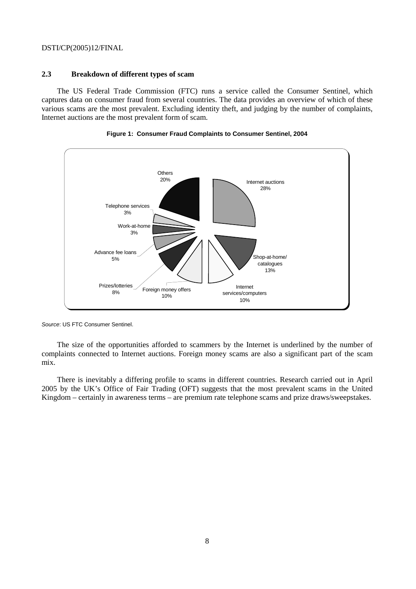#### **2.3 Breakdown of different types of scam**

The US Federal Trade Commission (FTC) runs a service called the Consumer Sentinel, which captures data on consumer fraud from several countries. The data provides an overview of which of these various scams are the most prevalent. Excluding identity theft, and judging by the number of complaints, Internet auctions are the most prevalent form of scam.





Source: US FTC Consumer Sentinel.

The size of the opportunities afforded to scammers by the Internet is underlined by the number of complaints connected to Internet auctions. Foreign money scams are also a significant part of the scam mix.

There is inevitably a differing profile to scams in different countries. Research carried out in April 2005 by the UK's Office of Fair Trading (OFT) suggests that the most prevalent scams in the United Kingdom – certainly in awareness terms – are premium rate telephone scams and prize draws/sweepstakes.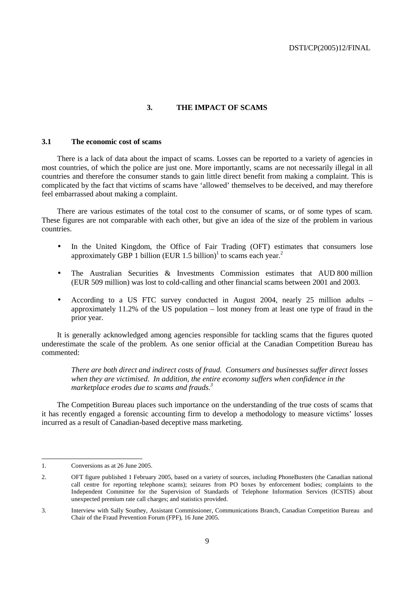#### **3. THE IMPACT OF SCAMS**

#### **3.1 The economic cost of scams**

There is a lack of data about the impact of scams. Losses can be reported to a variety of agencies in most countries, of which the police are just one. More importantly, scams are not necessarily illegal in all countries and therefore the consumer stands to gain little direct benefit from making a complaint. This is complicated by the fact that victims of scams have 'allowed' themselves to be deceived, and may therefore feel embarrassed about making a complaint.

There are various estimates of the total cost to the consumer of scams, or of some types of scam. These figures are not comparable with each other, but give an idea of the size of the problem in various countries.

- In the United Kingdom, the Office of Fair Trading (OFT) estimates that consumers lose approximately GBP 1 billion (EUR 1.5 billion)<sup>1</sup> to scams each year.<sup>2</sup>
- The Australian Securities & Investments Commission estimates that AUD 800 million (EUR 509 million) was lost to cold-calling and other financial scams between 2001 and 2003.
- According to a US FTC survey conducted in August 2004, nearly 25 million adults approximately 11.2% of the US population – lost money from at least one type of fraud in the prior year.

It is generally acknowledged among agencies responsible for tackling scams that the figures quoted underestimate the scale of the problem. As one senior official at the Canadian Competition Bureau has commented:

*There are both direct and indirect costs of fraud. Consumers and businesses suffer direct losses when they are victimised. In addition, the entire economy suffers when confidence in the marketplace erodes due to scams and frauds.3*

The Competition Bureau places such importance on the understanding of the true costs of scams that it has recently engaged a forensic accounting firm to develop a methodology to measure victims' losses incurred as a result of Canadian-based deceptive mass marketing.

 $\overline{a}$ 

<sup>1.</sup> Conversions as at 26 June 2005.

<sup>2.</sup> OFT figure published 1 February 2005, based on a variety of sources, including PhoneBusters (the Canadian national call centre for reporting telephone scams); seizures from PO boxes by enforcement bodies; complaints to the Independent Committee for the Supervision of Standards of Telephone Information Services (ICSTIS) about unexpected premium rate call charges; and statistics provided.

<sup>3.</sup> Interview with Sally Southey, Assistant Commissioner, Communications Branch, Canadian Competition Bureau and Chair of the Fraud Prevention Forum (FPF), 16 June 2005.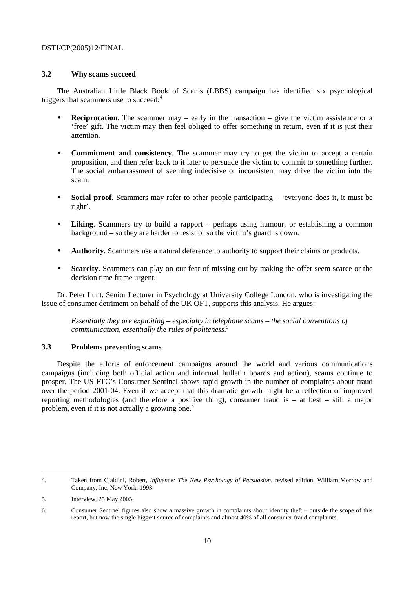#### **3.2 Why scams succeed**

The Australian Little Black Book of Scams (LBBS) campaign has identified six psychological triggers that scammers use to succeed:<sup>4</sup>

- **Reciprocation**. The scammer may early in the transaction give the victim assistance or a 'free' gift. The victim may then feel obliged to offer something in return, even if it is just their attention.
- **Commitment and consistency**. The scammer may try to get the victim to accept a certain proposition, and then refer back to it later to persuade the victim to commit to something further. The social embarrassment of seeming indecisive or inconsistent may drive the victim into the scam.
- **Social proof.** Scammers may refer to other people participating 'everyone does it, it must be right'.
- **Liking**. Scammers try to build a rapport perhaps using humour, or establishing a common background – so they are harder to resist or so the victim's guard is down.
- **Authority**. Scammers use a natural deference to authority to support their claims or products.
- **Scarcity**. Scammers can play on our fear of missing out by making the offer seem scarce or the decision time frame urgent.

Dr. Peter Lunt, Senior Lecturer in Psychology at University College London, who is investigating the issue of consumer detriment on behalf of the UK OFT, supports this analysis. He argues:

*Essentially they are exploiting – especially in telephone scams – the social conventions of communication, essentially the rules of politeness.5*

#### **3.3 Problems preventing scams**

Despite the efforts of enforcement campaigns around the world and various communications campaigns (including both official action and informal bulletin boards and action), scams continue to prosper. The US FTC's Consumer Sentinel shows rapid growth in the number of complaints about fraud over the period 2001-04. Even if we accept that this dramatic growth might be a reflection of improved reporting methodologies (and therefore a positive thing), consumer fraud is – at best – still a major problem, even if it is not actually a growing one.<sup>6</sup>

 $\overline{a}$ 

<sup>4.</sup> Taken from Cialdini, Robert, *Influence: The New Psychology of Persuasion*, revised edition, William Morrow and Company, Inc, New York, 1993.

<sup>5.</sup> Interview, 25 May 2005.

<sup>6.</sup> Consumer Sentinel figures also show a massive growth in complaints about identity theft – outside the scope of this report, but now the single biggest source of complaints and almost 40% of all consumer fraud complaints.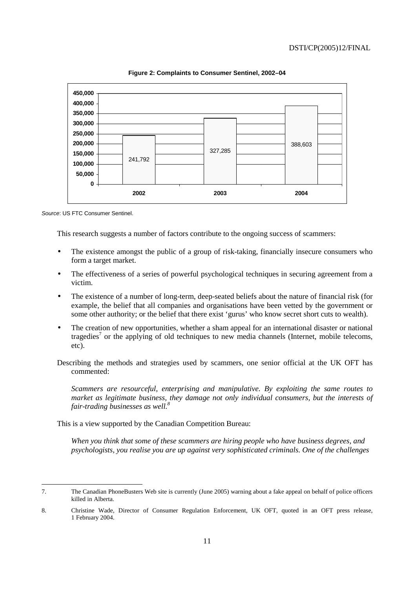

**Figure 2: Complaints to Consumer Sentinel, 2002–04** 

Source: US FTC Consumer Sentinel.

This research suggests a number of factors contribute to the ongoing success of scammers:

- The existence amongst the public of a group of risk-taking, financially insecure consumers who form a target market.
- The effectiveness of a series of powerful psychological techniques in securing agreement from a victim.
- The existence of a number of long-term, deep-seated beliefs about the nature of financial risk (for example, the belief that all companies and organisations have been vetted by the government or some other authority; or the belief that there exist 'gurus' who know secret short cuts to wealth).
- The creation of new opportunities, whether a sham appeal for an international disaster or national tragedies<sup>7</sup> or the applying of old techniques to new media channels (Internet, mobile telecoms, etc).
- Describing the methods and strategies used by scammers, one senior official at the UK OFT has commented:

*Scammers are resourceful, enterprising and manipulative. By exploiting the same routes to market as legitimate business, they damage not only individual consumers, but the interests of fair-trading businesses as well.8*

This is a view supported by the Canadian Competition Bureau:

*When you think that some of these scammers are hiring people who have business degrees, and psychologists, you realise you are up against very sophisticated criminals. One of the challenges* 

<sup>7.</sup> The Canadian PhoneBusters Web site is currently (June 2005) warning about a fake appeal on behalf of police officers killed in Alberta.

<sup>8.</sup> Christine Wade, Director of Consumer Regulation Enforcement, UK OFT, quoted in an OFT press release, 1 February 2004.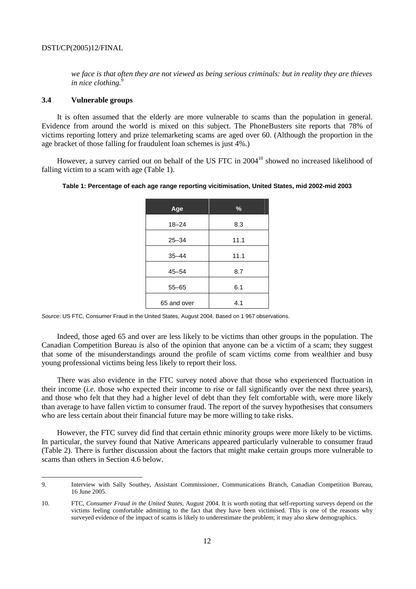*we face is that often they are not viewed as being serious criminals: but in reality they are thieves in nice clothing.*<sup>9</sup>

#### **3.4 Vulnerable groups**

 $\overline{a}$ 

It is often assumed that the elderly are more vulnerable to scams than the population in general. Evidence from around the world is mixed on this subject. The PhoneBusters site reports that 78% of victims reporting lottery and prize telemarketing scams are aged over 60. (Although the proportion in the age bracket of those falling for fraudulent loan schemes is just 4%.)

However, a survey carried out on behalf of the US FTC in 2004<sup>10</sup> showed no increased likelihood of falling victim to a scam with age (Table 1).

|  |  |  | Table 1: Percentage of each age range reporting vicitimisation, United States, mid 2002-mid 2003 |
|--|--|--|--------------------------------------------------------------------------------------------------|
|  |  |  |                                                                                                  |

| Age         | $\frac{9}{6}$ |
|-------------|---------------|
| $18 - 24$   | 8.3           |
| $25 - 34$   | 11.1          |
| $35 - 44$   | 11.1          |
| $45 - 54$   | 8.7           |
| $55 - 65$   | 6.1           |
| 65 and over | 4.1           |

Source: US FTC, Consumer Fraud in the United States, August 2004. Based on 1 967 observations.

Indeed, those aged 65 and over are less likely to be victims than other groups in the population. The Canadian Competition Bureau is also of the opinion that anyone can be a victim of a scam; they suggest that some of the misunderstandings around the profile of scam victims come from wealthier and busy young professional victims being less likely to report their loss.

There was also evidence in the FTC survey noted above that those who experienced fluctuation in their income (*i.e.* those who expected their income to rise or fall significantly over the next three years), and those who felt that they had a higher level of debt than they felt comfortable with, were more likely than average to have fallen victim to consumer fraud. The report of the survey hypothesises that consumers who are less certain about their financial future may be more willing to take risks.

However, the FTC survey did find that certain ethnic minority groups were more likely to be victims. In particular, the survey found that Native Americans appeared particularly vulnerable to consumer fraud (Table 2). There is further discussion about the factors that might make certain groups more vulnerable to scams than others in Section 4.6 below.

<sup>9.</sup> Interview with Sally Southey, Assistant Commissioner, Communications Branch, Canadian Competition Bureau, 16 June 2005.

<sup>10.</sup> FTC, *Consumer Fraud in the United States,* August 2004. It is worth noting that self-reporting surveys depend on the victims feeling comfortable admitting to the fact that they have been victimised. This is one of the reasons why surveyed evidence of the impact of scams is likely to underestimate the problem; it may also skew demographics.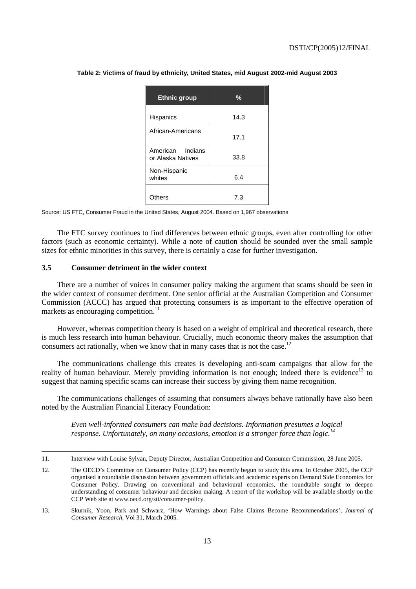| <b>Ethnic group</b>                   | $\frac{0}{0}$ |
|---------------------------------------|---------------|
| <b>Hispanics</b>                      | 14.3          |
| African-Americans                     | 17.1          |
| American Indians<br>or Alaska Natives | 33.8          |
| Non-Hispanic<br>whites                | 6.4           |
| Others                                | 7.3           |

**Table 2: Victims of fraud by ethnicity, United States, mid August 2002-mid August 2003** 

Source: US FTC, Consumer Fraud in the United States, August 2004. Based on 1,967 observations

The FTC survey continues to find differences between ethnic groups, even after controlling for other factors (such as economic certainty). While a note of caution should be sounded over the small sample sizes for ethnic minorities in this survey, there is certainly a case for further investigation.

#### **3.5 Consumer detriment in the wider context**

 $\overline{a}$ 

There are a number of voices in consumer policy making the argument that scams should be seen in the wider context of consumer detriment. One senior official at the Australian Competition and Consumer Commission (ACCC) has argued that protecting consumers is as important to the effective operation of markets as encouraging competition.<sup>11</sup>

However, whereas competition theory is based on a weight of empirical and theoretical research, there is much less research into human behaviour. Crucially, much economic theory makes the assumption that consumers act rationally, when we know that in many cases that is not the case.<sup>12</sup>

The communications challenge this creates is developing anti-scam campaigns that allow for the reality of human behaviour. Merely providing information is not enough; indeed there is evidence<sup>13</sup> to suggest that naming specific scams can increase their success by giving them name recognition.

The communications challenges of assuming that consumers always behave rationally have also been noted by the Australian Financial Literacy Foundation:

*Even well-informed consumers can make bad decisions. Information presumes a logical response. Unfortunately, on many occasions, emotion is a stronger force than logic.14*

<sup>11.</sup> Interview with Louise Sylvan, Deputy Director, Australian Competition and Consumer Commission, 28 June 2005.

<sup>12.</sup> The OECD's Committee on Consumer Policy (CCP) has recently begun to study this area. In October 2005, the CCP organised a roundtable discussion between government officials and academic experts on Demand Side Economics for Consumer Policy. Drawing on conventional and behavioural economics, the roundtable sought to deepen understanding of consumer behaviour and decision making. A report of the workshop will be available shortly on the CCP Web site at www.oecd.org/sti/consumer-policy.

<sup>13.</sup> Skurnik, Yoon, Park and Schwarz, 'How Warnings about False Claims Become Recommendations', *Journal of Consumer Research*, Vol 31, March 2005.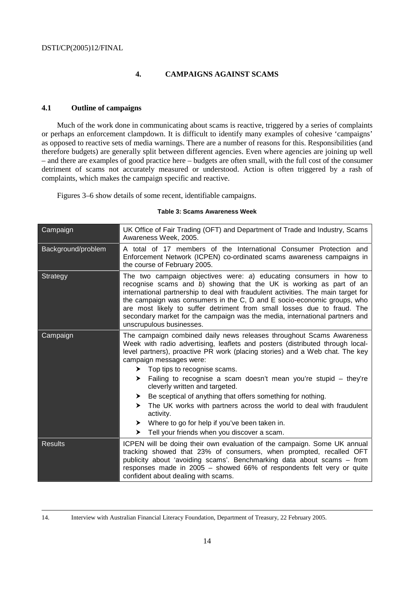#### **4. CAMPAIGNS AGAINST SCAMS**

#### **4.1 Outline of campaigns**

Much of the work done in communicating about scams is reactive, triggered by a series of complaints or perhaps an enforcement clampdown. It is difficult to identify many examples of cohesive 'campaigns' as opposed to reactive sets of media warnings. There are a number of reasons for this. Responsibilities (and therefore budgets) are generally split between different agencies. Even where agencies are joining up well – and there are examples of good practice here – budgets are often small, with the full cost of the consumer detriment of scams not accurately measured or understood. Action is often triggered by a rash of complaints, which makes the campaign specific and reactive.

Figures 3–6 show details of some recent, identifiable campaigns.

#### **Table 3: Scams Awareness Week**

| Campaign           | UK Office of Fair Trading (OFT) and Department of Trade and Industry, Scams<br>Awareness Week, 2005.                                                                                                                                                                                                                                                                                                                                                                                                                                                                                                                                                                                                |  |  |  |
|--------------------|-----------------------------------------------------------------------------------------------------------------------------------------------------------------------------------------------------------------------------------------------------------------------------------------------------------------------------------------------------------------------------------------------------------------------------------------------------------------------------------------------------------------------------------------------------------------------------------------------------------------------------------------------------------------------------------------------------|--|--|--|
| Background/problem | A total of 17 members of the International Consumer Protection and<br>Enforcement Network (ICPEN) co-ordinated scams awareness campaigns in<br>the course of February 2005.                                                                                                                                                                                                                                                                                                                                                                                                                                                                                                                         |  |  |  |
| Strategy           | The two campaign objectives were: a) educating consumers in how to<br>recognise scams and b) showing that the UK is working as part of an<br>international partnership to deal with fraudulent activities. The main target for<br>the campaign was consumers in the C, D and E socio-economic groups, who<br>are most likely to suffer detriment from small losses due to fraud. The<br>secondary market for the campaign was the media, international partners and<br>unscrupulous businesses.                                                                                                                                                                                                     |  |  |  |
| Campaign           | The campaign combined daily news releases throughout Scams Awareness<br>Week with radio advertising, leaflets and posters (distributed through local-<br>level partners), proactive PR work (placing stories) and a Web chat. The key<br>campaign messages were:<br>$\triangleright$ Top tips to recognise scams.<br>Failing to recognise a scam doesn't mean you're stupid – they're<br>➤<br>cleverly written and targeted.<br>Be sceptical of anything that offers something for nothing.<br>➤<br>The UK works with partners across the world to deal with fraudulent<br>➤<br>activity.<br>Where to go for help if you've been taken in.<br>➤<br>Tell your friends when you discover a scam.<br>➤ |  |  |  |
| <b>Results</b>     | ICPEN will be doing their own evaluation of the campaign. Some UK annual<br>tracking showed that 23% of consumers, when prompted, recalled OFT<br>publicity about 'avoiding scams'. Benchmarking data about scams - from<br>responses made in 2005 - showed 66% of respondents felt very or quite<br>confident about dealing with scams.                                                                                                                                                                                                                                                                                                                                                            |  |  |  |

14. Interview with Australian Financial Literacy Foundation, Department of Treasury, 22 February 2005.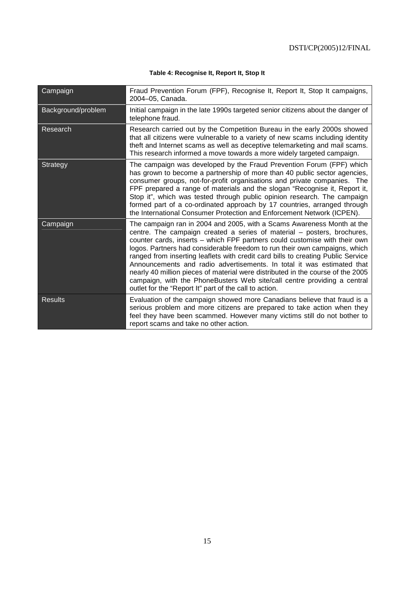#### **Table 4: Recognise It, Report It, Stop It**

| Campaign           | Fraud Prevention Forum (FPF), Recognise It, Report It, Stop It campaigns,<br>2004-05, Canada.                                                                                                                                                                                                                                                                                                                                                                                                                                                                                                                                                                                                        |
|--------------------|------------------------------------------------------------------------------------------------------------------------------------------------------------------------------------------------------------------------------------------------------------------------------------------------------------------------------------------------------------------------------------------------------------------------------------------------------------------------------------------------------------------------------------------------------------------------------------------------------------------------------------------------------------------------------------------------------|
| Background/problem | Initial campaign in the late 1990s targeted senior citizens about the danger of<br>telephone fraud.                                                                                                                                                                                                                                                                                                                                                                                                                                                                                                                                                                                                  |
| Research           | Research carried out by the Competition Bureau in the early 2000s showed<br>that all citizens were vulnerable to a variety of new scams including identity<br>theft and Internet scams as well as deceptive telemarketing and mail scams.<br>This research informed a move towards a more widely targeted campaign.                                                                                                                                                                                                                                                                                                                                                                                  |
| Strategy           | The campaign was developed by the Fraud Prevention Forum (FPF) which<br>has grown to become a partnership of more than 40 public sector agencies,<br>consumer groups, not-for-profit organisations and private companies. The<br>FPF prepared a range of materials and the slogan "Recognise it, Report it,<br>Stop it", which was tested through public opinion research. The campaign<br>formed part of a co-ordinated approach by 17 countries, arranged through<br>the International Consumer Protection and Enforcement Network (ICPEN).                                                                                                                                                        |
| Campaign           | The campaign ran in 2004 and 2005, with a Scams Awareness Month at the<br>centre. The campaign created a series of material – posters, brochures,<br>counter cards, inserts - which FPF partners could customise with their own<br>logos. Partners had considerable freedom to run their own campaigns, which<br>ranged from inserting leaflets with credit card bills to creating Public Service<br>Announcements and radio advertisements. In total it was estimated that<br>nearly 40 million pieces of material were distributed in the course of the 2005<br>campaign, with the PhoneBusters Web site/call centre providing a central<br>outlet for the "Report It" part of the call to action. |
| Results            | Evaluation of the campaign showed more Canadians believe that fraud is a<br>serious problem and more citizens are prepared to take action when they<br>feel they have been scammed. However many victims still do not bother to<br>report scams and take no other action.                                                                                                                                                                                                                                                                                                                                                                                                                            |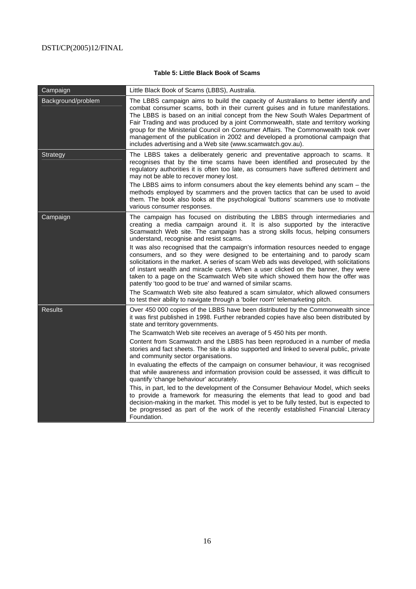#### **Table 5: Little Black Book of Scams**

| Campaign           | Little Black Book of Scams (LBBS), Australia.                                                                                                                                                                                                                                                                                                                                                                                                                                                                                                                                          |
|--------------------|----------------------------------------------------------------------------------------------------------------------------------------------------------------------------------------------------------------------------------------------------------------------------------------------------------------------------------------------------------------------------------------------------------------------------------------------------------------------------------------------------------------------------------------------------------------------------------------|
| Background/problem | The LBBS campaign aims to build the capacity of Australians to better identify and<br>combat consumer scams, both in their current guises and in future manifestations.<br>The LBBS is based on an initial concept from the New South Wales Department of<br>Fair Trading and was produced by a joint Commonwealth, state and territory working<br>group for the Ministerial Council on Consumer Affairs. The Commonwealth took over<br>management of the publication in 2002 and developed a promotional campaign that<br>includes advertising and a Web site (www.scamwatch.gov.au). |
| Strategy           | The LBBS takes a deliberately generic and preventative approach to scams. It<br>recognises that by the time scams have been identified and prosecuted by the<br>regulatory authorities it is often too late, as consumers have suffered detriment and<br>may not be able to recover money lost.                                                                                                                                                                                                                                                                                        |
|                    | The LBBS aims to inform consumers about the key elements behind any scam - the<br>methods employed by scammers and the proven tactics that can be used to avoid<br>them. The book also looks at the psychological 'buttons' scammers use to motivate<br>various consumer responses.                                                                                                                                                                                                                                                                                                    |
| Campaign           | The campaign has focused on distributing the LBBS through intermediaries and<br>creating a media campaign around it. It is also supported by the interactive<br>Scamwatch Web site. The campaign has a strong skills focus, helping consumers<br>understand, recognise and resist scams.                                                                                                                                                                                                                                                                                               |
|                    | It was also recognised that the campaign's information resources needed to engage<br>consumers, and so they were designed to be entertaining and to parody scam<br>solicitations in the market. A series of scam Web ads was developed, with solicitations<br>of instant wealth and miracle cures. When a user clicked on the banner, they were<br>taken to a page on the Scamwatch Web site which showed them how the offer was<br>patently 'too good to be true' and warned of similar scams.                                                                                        |
|                    | The Scamwatch Web site also featured a scam simulator, which allowed consumers<br>to test their ability to navigate through a 'boiler room' telemarketing pitch.                                                                                                                                                                                                                                                                                                                                                                                                                       |
| Results            | Over 450 000 copies of the LBBS have been distributed by the Commonwealth since<br>it was first published in 1998. Further rebranded copies have also been distributed by<br>state and territory governments.                                                                                                                                                                                                                                                                                                                                                                          |
|                    | The Scamwatch Web site receives an average of 5 450 hits per month.                                                                                                                                                                                                                                                                                                                                                                                                                                                                                                                    |
|                    | Content from Scamwatch and the LBBS has been reproduced in a number of media<br>stories and fact sheets. The site is also supported and linked to several public, private<br>and community sector organisations.                                                                                                                                                                                                                                                                                                                                                                       |
|                    | In evaluating the effects of the campaign on consumer behaviour, it was recognised<br>that while awareness and information provision could be assessed, it was difficult to<br>quantify 'change behaviour' accurately.                                                                                                                                                                                                                                                                                                                                                                 |
|                    | This, in part, led to the development of the Consumer Behaviour Model, which seeks<br>to provide a framework for measuring the elements that lead to good and bad<br>decision-making in the market. This model is yet to be fully tested, but is expected to<br>be progressed as part of the work of the recently established Financial Literacy<br>Foundation.                                                                                                                                                                                                                        |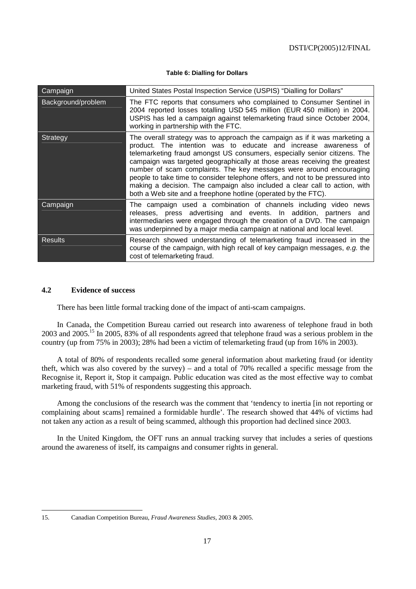|  |  | Table 6: Dialling for Dollars |
|--|--|-------------------------------|
|  |  |                               |

| Campaign           | United States Postal Inspection Service (USPIS) "Dialling for Dollars"                                                                                                                                                                                                                                                                                                                                                                                                                                                                                                                                            |
|--------------------|-------------------------------------------------------------------------------------------------------------------------------------------------------------------------------------------------------------------------------------------------------------------------------------------------------------------------------------------------------------------------------------------------------------------------------------------------------------------------------------------------------------------------------------------------------------------------------------------------------------------|
| Background/problem | The FTC reports that consumers who complained to Consumer Sentinel in<br>2004 reported losses totalling USD 545 million (EUR 450 million) in 2004.<br>USPIS has led a campaign against telemarketing fraud since October 2004,<br>working in partnership with the FTC.                                                                                                                                                                                                                                                                                                                                            |
| Strategy           | The overall strategy was to approach the campaign as if it was marketing a<br>product. The intention was to educate and increase awareness of<br>telemarketing fraud amongst US consumers, especially senior citizens. The<br>campaign was targeted geographically at those areas receiving the greatest<br>number of scam complaints. The key messages were around encouraging<br>people to take time to consider telephone offers, and not to be pressured into<br>making a decision. The campaign also included a clear call to action, with<br>both a Web site and a freephone hotline (operated by the FTC). |
| Campaign           | The campaign used a combination of channels including video news<br>releases, press advertising and events. In addition, partners and<br>intermediaries were engaged through the creation of a DVD. The campaign<br>was underpinned by a major media campaign at national and local level.                                                                                                                                                                                                                                                                                                                        |
| <b>Results</b>     | Research showed understanding of telemarketing fraud increased in the<br>course of the campaign, with high recall of key campaign messages, e.g. the<br>cost of telemarketing fraud.                                                                                                                                                                                                                                                                                                                                                                                                                              |

#### **4.2 Evidence of success**

There has been little formal tracking done of the impact of anti-scam campaigns.

In Canada, the Competition Bureau carried out research into awareness of telephone fraud in both 2003 and 2005.15 In 2005, 83% of all respondents agreed that telephone fraud was a serious problem in the country (up from 75% in 2003); 28% had been a victim of telemarketing fraud (up from 16% in 2003).

A total of 80% of respondents recalled some general information about marketing fraud (or identity theft, which was also covered by the survey) – and a total of 70% recalled a specific message from the Recognise it, Report it, Stop it campaign. Public education was cited as the most effective way to combat marketing fraud, with 51% of respondents suggesting this approach.

Among the conclusions of the research was the comment that 'tendency to inertia [in not reporting or complaining about scams] remained a formidable hurdle'. The research showed that 44% of victims had not taken any action as a result of being scammed, although this proportion had declined since 2003.

In the United Kingdom, the OFT runs an annual tracking survey that includes a series of questions around the awareness of itself, its campaigns and consumer rights in general.

 $\overline{a}$ 

<sup>15.</sup> Canadian Competition Bureau, *Fraud Awareness Studies*, 2003 & 2005.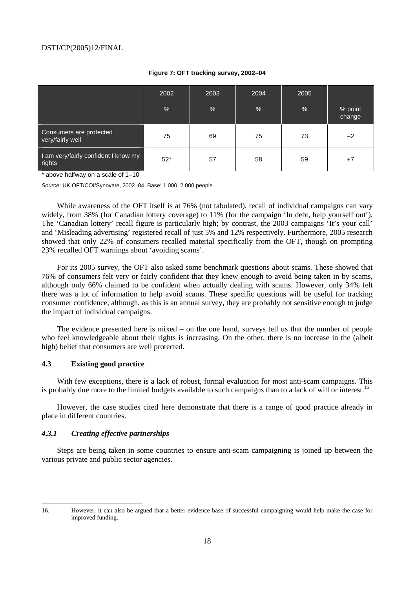|                                                | 2002  | 2003 | 2004 | 2005          |                   |
|------------------------------------------------|-------|------|------|---------------|-------------------|
|                                                | %     | %    | %    | $\frac{1}{2}$ | % point<br>change |
| Consumers are protected<br>very/fairly well    | 75    | 69   | 75   | 73            | $-2$              |
| I am very/fairly confident I know my<br>rights | $52*$ | 57   | 58   | 59            | $+7$              |

#### **Figure 7: OFT tracking survey, 2002–04**

\* above halfway on a scale of 1–10

Source: UK OFT/COI/Synovate, 2002–04. Base: 1 000–2 000 people.

While awareness of the OFT itself is at 76% (not tabulated), recall of individual campaigns can vary widely, from 38% (for Canadian lottery coverage) to 11% (for the campaign 'In debt, help yourself out'). The 'Canadian lottery' recall figure is particularly high; by contrast, the 2003 campaigns 'It's your call' and 'Misleading advertising' registered recall of just 5% and 12% respectively. Furthermore, 2005 research showed that only 22% of consumers recalled material specifically from the OFT, though on prompting 23% recalled OFT warnings about 'avoiding scams'.

For its 2005 survey, the OFT also asked some benchmark questions about scams. These showed that 76% of consumers felt very or fairly confident that they knew enough to avoid being taken in by scams, although only 66% claimed to be confident when actually dealing with scams. However, only 34% felt there was a lot of information to help avoid scams. These specific questions will be useful for tracking consumer confidence, although, as this is an annual survey, they are probably not sensitive enough to judge the impact of individual campaigns.

The evidence presented here is mixed – on the one hand, surveys tell us that the number of people who feel knowledgeable about their rights is increasing. On the other, there is no increase in the (albeit high) belief that consumers are well protected.

#### **4.3 Existing good practice**

With few exceptions, there is a lack of robust, formal evaluation for most anti-scam campaigns. This is probably due more to the limited budgets available to such campaigns than to a lack of will or interest.<sup>16</sup>

However, the case studies cited here demonstrate that there is a range of good practice already in place in different countries.

#### *4.3.1 Creating effective partnerships*

 $\overline{a}$ 

Steps are being taken in some countries to ensure anti-scam campaigning is joined up between the various private and public sector agencies.

<sup>16.</sup> However, it can also be argued that a better evidence base of successful campaigning would help make the case for improved funding.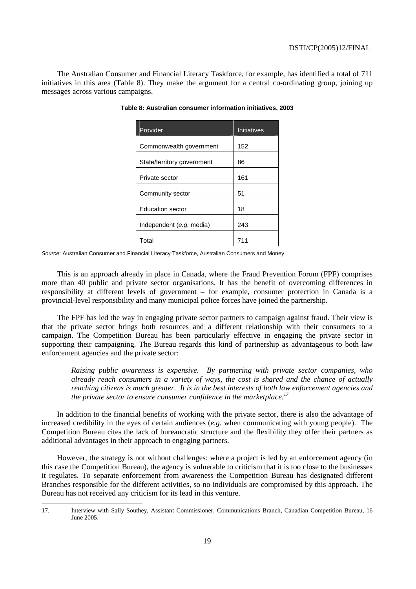The Australian Consumer and Financial Literacy Taskforce, for example, has identified a total of 711 initiatives in this area (Table 8). They make the argument for a central co-ordinating group, joining up messages across various campaigns.

| Provider                   | <b>Initiatives</b> |
|----------------------------|--------------------|
| Commonwealth government    | 152                |
| State/territory government | 86                 |
| Private sector             | 161                |
| Community sector           | 51                 |
| <b>Education sector</b>    | 18                 |
| Independent (e.g. media)   | 243                |
| Total                      | 711                |

**Table 8: Australian consumer information initiatives, 2003** 

Source: Australian Consumer and Financial Literacy Taskforce, Australian Consumers and Money.

This is an approach already in place in Canada, where the Fraud Prevention Forum (FPF) comprises more than 40 public and private sector organisations. It has the benefit of overcoming differences in responsibility at different levels of government – for example, consumer protection in Canada is a provincial-level responsibility and many municipal police forces have joined the partnership.

The FPF has led the way in engaging private sector partners to campaign against fraud. Their view is that the private sector brings both resources and a different relationship with their consumers to a campaign. The Competition Bureau has been particularly effective in engaging the private sector in supporting their campaigning. The Bureau regards this kind of partnership as advantageous to both law enforcement agencies and the private sector:

*Raising public awareness is expensive. By partnering with private sector companies, who already reach consumers in a variety of ways, the cost is shared and the chance of actually reaching citizens is much greater. It is in the best interests of both law enforcement agencies and the private sector to ensure consumer confidence in the marketplace.17* 

In addition to the financial benefits of working with the private sector, there is also the advantage of increased credibility in the eyes of certain audiences (*e.g.* when communicating with young people). The Competition Bureau cites the lack of bureaucratic structure and the flexibility they offer their partners as additional advantages in their approach to engaging partners.

However, the strategy is not without challenges: where a project is led by an enforcement agency (in this case the Competition Bureau), the agency is vulnerable to criticism that it is too close to the businesses it regulates. To separate enforcement from awareness the Competition Bureau has designated different Branches responsible for the different activities, so no individuals are compromised by this approach. The Bureau has not received any criticism for its lead in this venture.

 $\overline{a}$ 

<sup>17.</sup> Interview with Sally Southey, Assistant Commissioner, Communications Branch, Canadian Competition Bureau, 16 June 2005.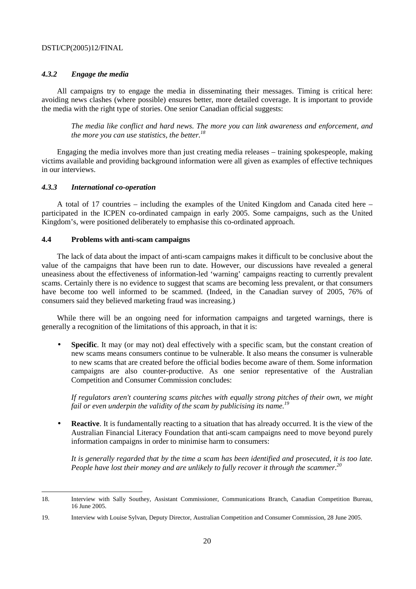#### *4.3.2 Engage the media*

All campaigns try to engage the media in disseminating their messages. Timing is critical here: avoiding news clashes (where possible) ensures better, more detailed coverage. It is important to provide the media with the right type of stories. One senior Canadian official suggests:

*The media like conflict and hard news. The more you can link awareness and enforcement, and the more you can use statistics, the better.18*

Engaging the media involves more than just creating media releases – training spokespeople, making victims available and providing background information were all given as examples of effective techniques in our interviews.

#### *4.3.3 International co-operation*

 $\overline{a}$ 

A total of 17 countries – including the examples of the United Kingdom and Canada cited here – participated in the ICPEN co-ordinated campaign in early 2005. Some campaigns, such as the United Kingdom's, were positioned deliberately to emphasise this co-ordinated approach.

#### **4.4 Problems with anti-scam campaigns**

The lack of data about the impact of anti-scam campaigns makes it difficult to be conclusive about the value of the campaigns that have been run to date. However, our discussions have revealed a general uneasiness about the effectiveness of information-led 'warning' campaigns reacting to currently prevalent scams. Certainly there is no evidence to suggest that scams are becoming less prevalent, or that consumers have become too well informed to be scammed. (Indeed, in the Canadian survey of 2005, 76% of consumers said they believed marketing fraud was increasing.)

While there will be an ongoing need for information campaigns and targeted warnings, there is generally a recognition of the limitations of this approach, in that it is:

• **Specific**. It may (or may not) deal effectively with a specific scam, but the constant creation of new scams means consumers continue to be vulnerable. It also means the consumer is vulnerable to new scams that are created before the official bodies become aware of them. Some information campaigns are also counter-productive. As one senior representative of the Australian Competition and Consumer Commission concludes:

*If regulators aren't countering scams pitches with equally strong pitches of their own, we might fail or even underpin the validity of the scam by publicising its name.*<sup>19</sup>

**Reactive**. It is fundamentally reacting to a situation that has already occurred. It is the view of the Australian Financial Literacy Foundation that anti-scam campaigns need to move beyond purely information campaigns in order to minimise harm to consumers:

*It is generally regarded that by the time a scam has been identified and prosecuted, it is too late. People have lost their money and are unlikely to fully recover it through the scammer.*<sup>20</sup>

<sup>18.</sup> Interview with Sally Southey, Assistant Commissioner, Communications Branch, Canadian Competition Bureau, 16 June 2005.

<sup>19.</sup> Interview with Louise Sylvan, Deputy Director, Australian Competition and Consumer Commission, 28 June 2005.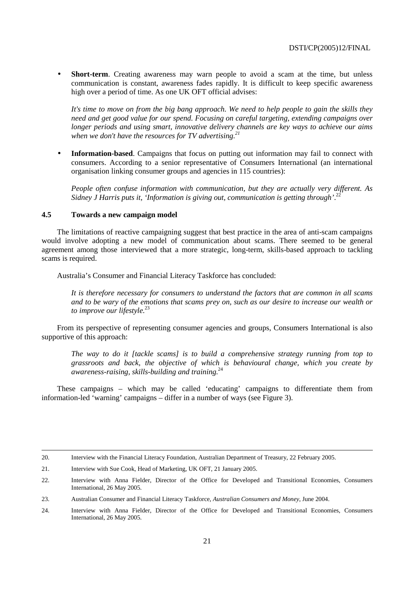• **Short-term**. Creating awareness may warn people to avoid a scam at the time, but unless communication is constant, awareness fades rapidly. It is difficult to keep specific awareness high over a period of time. As one UK OFT official advises:

*It's time to move on from the big bang approach. We need to help people to gain the skills they need and get good value for our spend. Focusing on careful targeting, extending campaigns over longer periods and using smart, innovative delivery channels are key ways to achieve our aims when we don't have the resources for TV advertising.*<sup>21</sup>

• **Information-based**. Campaigns that focus on putting out information may fail to connect with consumers. According to a senior representative of Consumers International (an international organisation linking consumer groups and agencies in 115 countries):

*People often confuse information with communication, but they are actually very different. As*  Sidney J Harris puts it, 'Information is giving out, communication is getting through'.<sup>22</sup>

#### **4.5 Towards a new campaign model**

The limitations of reactive campaigning suggest that best practice in the area of anti-scam campaigns would involve adopting a new model of communication about scams. There seemed to be general agreement among those interviewed that a more strategic, long-term, skills-based approach to tackling scams is required.

Australia's Consumer and Financial Literacy Taskforce has concluded:

*It is therefore necessary for consumers to understand the factors that are common in all scams and to be wary of the emotions that scams prey on, such as our desire to increase our wealth or to improve our lifestyle.*<sup>23</sup>

From its perspective of representing consumer agencies and groups, Consumers International is also supportive of this approach:

*The way to do it [tackle scams] is to build a comprehensive strategy running from top to grassroots and back, the objective of which is behavioural change, which you create by awareness-raising, skills-building and training.*<sup>24</sup>

These campaigns – which may be called 'educating' campaigns to differentiate them from information-led 'warning' campaigns – differ in a number of ways (see Figure 3).

 <sup>20.</sup> Interview with the Financial Literacy Foundation, Australian Department of Treasury, 22 February 2005.

<sup>21.</sup> Interview with Sue Cook, Head of Marketing, UK OFT, 21 January 2005.

<sup>22.</sup> Interview with Anna Fielder, Director of the Office for Developed and Transitional Economies, Consumers International, 26 May 2005.

<sup>23.</sup> Australian Consumer and Financial Literacy Taskforce, *Australian Consumers and Money*, June 2004.

<sup>24.</sup> Interview with Anna Fielder, Director of the Office for Developed and Transitional Economies, Consumers International, 26 May 2005.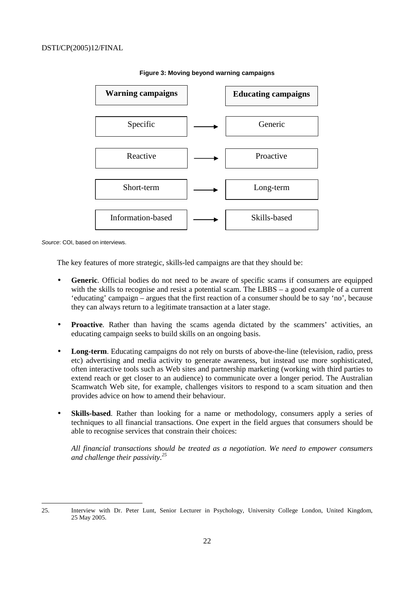

#### **Figure 3: Moving beyond warning campaigns**

Source: COI, based on interviews.

The key features of more strategic, skills-led campaigns are that they should be:

- **Generic**. Official bodies do not need to be aware of specific scams if consumers are equipped with the skills to recognise and resist a potential scam. The LBBS – a good example of a current 'educating' campaign – argues that the first reaction of a consumer should be to say 'no', because they can always return to a legitimate transaction at a later stage.
- **Proactive**. Rather than having the scams agenda dictated by the scammers' activities, an educating campaign seeks to build skills on an ongoing basis.
- **Long-term**. Educating campaigns do not rely on bursts of above-the-line (television, radio, press etc) advertising and media activity to generate awareness, but instead use more sophisticated, often interactive tools such as Web sites and partnership marketing (working with third parties to extend reach or get closer to an audience) to communicate over a longer period. The Australian Scamwatch Web site, for example, challenges visitors to respond to a scam situation and then provides advice on how to amend their behaviour.
- **Skills-based**. Rather than looking for a name or methodology, consumers apply a series of techniques to all financial transactions. One expert in the field argues that consumers should be able to recognise services that constrain their choices:

*All financial transactions should be treated as a negotiation. We need to empower consumers and challenge their passivity.25*

 $\overline{a}$ 25. Interview with Dr. Peter Lunt, Senior Lecturer in Psychology, University College London, United Kingdom, 25 May 2005.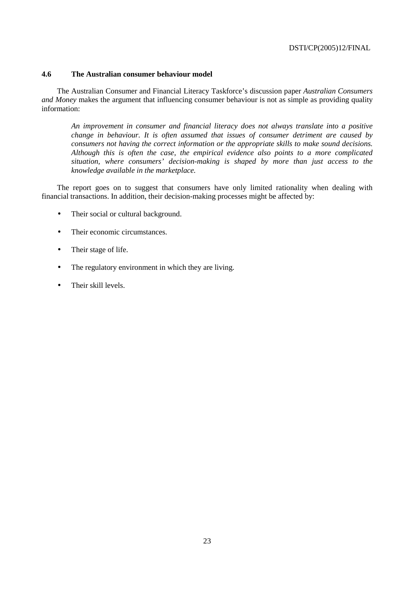#### **4.6 The Australian consumer behaviour model**

The Australian Consumer and Financial Literacy Taskforce's discussion paper *Australian Consumers and Money* makes the argument that influencing consumer behaviour is not as simple as providing quality information:

*An improvement in consumer and financial literacy does not always translate into a positive change in behaviour. It is often assumed that issues of consumer detriment are caused by consumers not having the correct information or the appropriate skills to make sound decisions. Although this is often the case, the empirical evidence also points to a more complicated situation, where consumers' decision-making is shaped by more than just access to the knowledge available in the marketplace.* 

The report goes on to suggest that consumers have only limited rationality when dealing with financial transactions. In addition, their decision-making processes might be affected by:

- Their social or cultural background.
- Their economic circumstances.
- Their stage of life.
- The regulatory environment in which they are living.
- Their skill levels.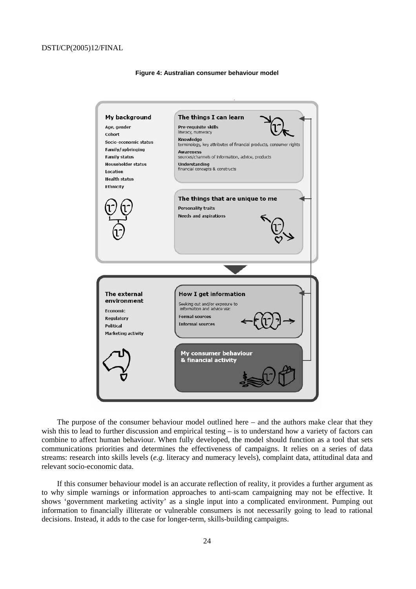

#### **Figure 4: Australian consumer behaviour model**

The purpose of the consumer behaviour model outlined here – and the authors make clear that they wish this to lead to further discussion and empirical testing – is to understand how a variety of factors can combine to affect human behaviour. When fully developed, the model should function as a tool that sets communications priorities and determines the effectiveness of campaigns. It relies on a series of data streams: research into skills levels (*e.g.* literacy and numeracy levels), complaint data, attitudinal data and relevant socio-economic data.

If this consumer behaviour model is an accurate reflection of reality, it provides a further argument as to why simple warnings or information approaches to anti-scam campaigning may not be effective. It shows 'government marketing activity' as a single input into a complicated environment. Pumping out information to financially illiterate or vulnerable consumers is not necessarily going to lead to rational decisions. Instead, it adds to the case for longer-term, skills-building campaigns.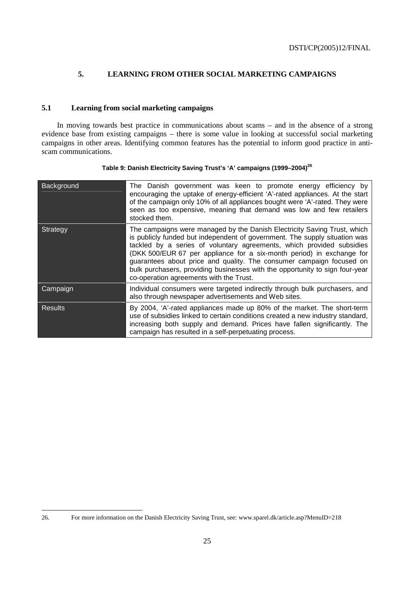# **5. LEARNING FROM OTHER SOCIAL MARKETING CAMPAIGNS**

#### **5.1 Learning from social marketing campaigns**

In moving towards best practice in communications about scams – and in the absence of a strong evidence base from existing campaigns – there is some value in looking at successful social marketing campaigns in other areas. Identifying common features has the potential to inform good practice in antiscam communications.

| Background     | The Danish government was keen to promote energy efficiency by<br>encouraging the uptake of energy-efficient 'A'-rated appliances. At the start<br>of the campaign only 10% of all appliances bought were 'A'-rated. They were<br>seen as too expensive, meaning that demand was low and few retailers<br>stocked them.                                                                                                                                                                                     |
|----------------|-------------------------------------------------------------------------------------------------------------------------------------------------------------------------------------------------------------------------------------------------------------------------------------------------------------------------------------------------------------------------------------------------------------------------------------------------------------------------------------------------------------|
| Strategy       | The campaigns were managed by the Danish Electricity Saving Trust, which<br>is publicly funded but independent of government. The supply situation was<br>tackled by a series of voluntary agreements, which provided subsidies<br>(DKK 500/EUR 67 per appliance for a six-month period) in exchange for<br>guarantees about price and quality. The consumer campaign focused on<br>bulk purchasers, providing businesses with the opportunity to sign four-year<br>co-operation agreements with the Trust. |
| Campaign       | Individual consumers were targeted indirectly through bulk purchasers, and<br>also through newspaper advertisements and Web sites.                                                                                                                                                                                                                                                                                                                                                                          |
| <b>Results</b> | By 2004, 'A'-rated appliances made up 80% of the market. The short-term<br>use of subsidies linked to certain conditions created a new industry standard,<br>increasing both supply and demand. Prices have fallen significantly. The<br>campaign has resulted in a self-perpetuating process.                                                                                                                                                                                                              |

| Table 9: Danish Electricity Saving Trust's 'A' campaigns (1999-2004) <sup>26</sup> |  |  |
|------------------------------------------------------------------------------------|--|--|
|                                                                                    |  |  |

<sup>26.</sup> 26. For more information on the Danish Electricity Saving Trust, see: www.sparel.dk/article.asp?MenuID=218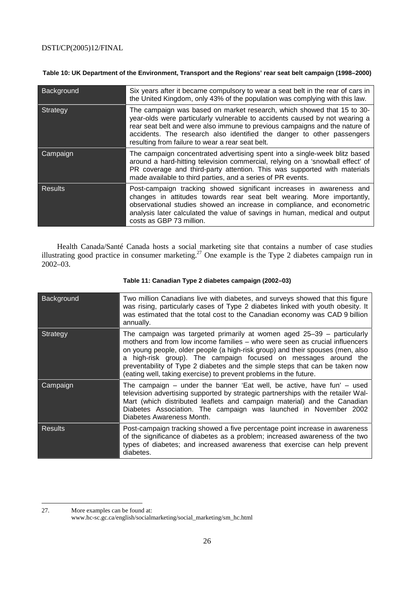#### **Table 10: UK Department of the Environment, Transport and the Regions' rear seat belt campaign (1998–2000)**

| Background     | Six years after it became compulsory to wear a seat belt in the rear of cars in<br>the United Kingdom, only 43% of the population was complying with this law.                                                                                                                                                                                                     |
|----------------|--------------------------------------------------------------------------------------------------------------------------------------------------------------------------------------------------------------------------------------------------------------------------------------------------------------------------------------------------------------------|
| Strategy       | The campaign was based on market research, which showed that 15 to 30-<br>year-olds were particularly vulnerable to accidents caused by not wearing a<br>rear seat belt and were also immune to previous campaigns and the nature of<br>accidents. The research also identified the danger to other passengers<br>resulting from failure to wear a rear seat belt. |
| Campaign       | The campaign concentrated advertising spent into a single-week blitz based<br>around a hard-hitting television commercial, relying on a 'snowball effect' of<br>PR coverage and third-party attention. This was supported with materials<br>made available to third parties, and a series of PR events.                                                            |
| <b>Results</b> | Post-campaign tracking showed significant increases in awareness and<br>changes in attitudes towards rear seat belt wearing. More importantly,<br>observational studies showed an increase in compliance, and econometric<br>analysis later calculated the value of savings in human, medical and output<br>costs as GBP 73 million.                               |

Health Canada/Santé Canada hosts a social marketing site that contains a number of case studies illustrating good practice in consumer marketing.<sup>27</sup> One example is the Type 2 diabetes campaign run in 2002–03.

| Background     | Two million Canadians live with diabetes, and surveys showed that this figure<br>was rising, particularly cases of Type 2 diabetes linked with youth obesity. It<br>was estimated that the total cost to the Canadian economy was CAD 9 billion<br>annually.                                                                                                                                                                                                    |
|----------------|-----------------------------------------------------------------------------------------------------------------------------------------------------------------------------------------------------------------------------------------------------------------------------------------------------------------------------------------------------------------------------------------------------------------------------------------------------------------|
| Strategy       | The campaign was targeted primarily at women aged 25–39 – particularly<br>mothers and from low income families – who were seen as crucial influencers<br>on young people, older people (a high-risk group) and their spouses (men, also<br>a high-risk group). The campaign focused on messages around the<br>preventability of Type 2 diabetes and the simple steps that can be taken now<br>(eating well, taking exercise) to prevent problems in the future. |
| Campaign       | The campaign $-$ under the banner 'Eat well, be active, have fun' $-$ used<br>television advertising supported by strategic partnerships with the retailer Wal-<br>Mart (which distributed leaflets and campaign material) and the Canadian<br>Diabetes Association. The campaign was launched in November 2002<br>Diabetes Awareness Month.                                                                                                                    |
| <b>Results</b> | Post-campaign tracking showed a five percentage point increase in awareness<br>of the significance of diabetes as a problem; increased awareness of the two<br>types of diabetes; and increased awareness that exercise can help prevent<br>diabetes.                                                                                                                                                                                                           |

#### **Table 11: Canadian Type 2 diabetes campaign (2002–03)**

<sup>27.</sup> More examples can be found at:

www.hc-sc.gc.ca/english/socialmarketing/social\_marketing/sm\_hc.html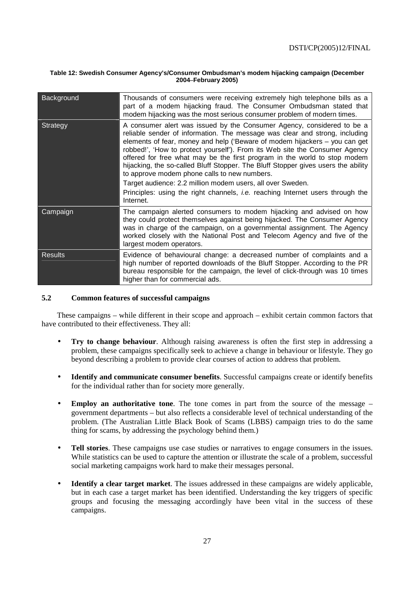#### **Table 12: Swedish Consumer Agency's/Consumer Ombudsman's modem hijacking campaign (December 2004–February 2005)**

| Background     | Thousands of consumers were receiving extremely high telephone bills as a<br>part of a modem hijacking fraud. The Consumer Ombudsman stated that<br>modem hijacking was the most serious consumer problem of modern times.                                                                                                                                                                                                                                                                                                                                                                                                                                                                               |
|----------------|----------------------------------------------------------------------------------------------------------------------------------------------------------------------------------------------------------------------------------------------------------------------------------------------------------------------------------------------------------------------------------------------------------------------------------------------------------------------------------------------------------------------------------------------------------------------------------------------------------------------------------------------------------------------------------------------------------|
| Strategy       | A consumer alert was issued by the Consumer Agency, considered to be a<br>reliable sender of information. The message was clear and strong, including<br>elements of fear, money and help ('Beware of modem hijackers - you can get<br>robbed!', 'How to protect yourself'). From its Web site the Consumer Agency<br>offered for free what may be the first program in the world to stop modem<br>hijacking, the so-called Bluff Stopper. The Bluff Stopper gives users the ability<br>to approve modem phone calls to new numbers.<br>Target audience: 2.2 million modem users, all over Sweden.<br>Principles: using the right channels, <i>i.e.</i> reaching Internet users through the<br>Internet. |
| Campaign       | The campaign alerted consumers to modem hijacking and advised on how<br>they could protect themselves against being hijacked. The Consumer Agency<br>was in charge of the campaign, on a governmental assignment. The Agency<br>worked closely with the National Post and Telecom Agency and five of the<br>largest modem operators.                                                                                                                                                                                                                                                                                                                                                                     |
| <b>Results</b> | Evidence of behavioural change: a decreased number of complaints and a<br>high number of reported downloads of the Bluff Stopper. According to the PR<br>bureau responsible for the campaign, the level of click-through was 10 times<br>higher than for commercial ads.                                                                                                                                                                                                                                                                                                                                                                                                                                 |

#### **5.2 Common features of successful campaigns**

These campaigns – while different in their scope and approach – exhibit certain common factors that have contributed to their effectiveness. They all:

- **Try to change behaviour**. Although raising awareness is often the first step in addressing a problem, these campaigns specifically seek to achieve a change in behaviour or lifestyle. They go beyond describing a problem to provide clear courses of action to address that problem.
- **Identify and communicate consumer benefits**. Successful campaigns create or identify benefits for the individual rather than for society more generally.
- **Employ an authoritative tone**. The tone comes in part from the source of the message government departments – but also reflects a considerable level of technical understanding of the problem. (The Australian Little Black Book of Scams (LBBS) campaign tries to do the same thing for scams, by addressing the psychology behind them.)
- **Tell stories**. These campaigns use case studies or narratives to engage consumers in the issues. While statistics can be used to capture the attention or illustrate the scale of a problem, successful social marketing campaigns work hard to make their messages personal.
- **Identify a clear target market**. The issues addressed in these campaigns are widely applicable, but in each case a target market has been identified. Understanding the key triggers of specific groups and focusing the messaging accordingly have been vital in the success of these campaigns.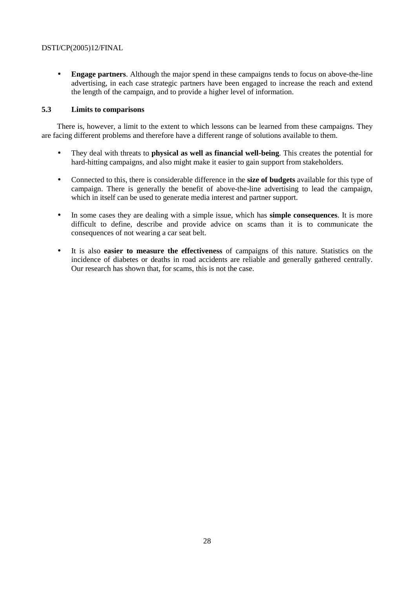• **Engage partners**. Although the major spend in these campaigns tends to focus on above-the-line advertising, in each case strategic partners have been engaged to increase the reach and extend the length of the campaign, and to provide a higher level of information.

#### **5.3 Limits to comparisons**

There is, however, a limit to the extent to which lessons can be learned from these campaigns. They are facing different problems and therefore have a different range of solutions available to them.

- They deal with threats to **physical as well as financial well-being**. This creates the potential for hard-hitting campaigns, and also might make it easier to gain support from stakeholders.
- Connected to this, there is considerable difference in the **size of budgets** available for this type of campaign. There is generally the benefit of above-the-line advertising to lead the campaign, which in itself can be used to generate media interest and partner support.
- In some cases they are dealing with a simple issue, which has **simple consequences**. It is more difficult to define, describe and provide advice on scams than it is to communicate the consequences of not wearing a car seat belt.
- It is also **easier to measure the effectiveness** of campaigns of this nature. Statistics on the incidence of diabetes or deaths in road accidents are reliable and generally gathered centrally. Our research has shown that, for scams, this is not the case.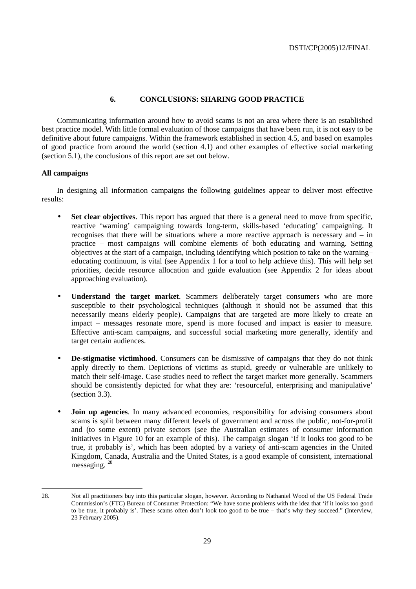# **6. CONCLUSIONS: SHARING GOOD PRACTICE**

Communicating information around how to avoid scams is not an area where there is an established best practice model. With little formal evaluation of those campaigns that have been run, it is not easy to be definitive about future campaigns. Within the framework established in section 4.5, and based on examples of good practice from around the world (section 4.1) and other examples of effective social marketing (section 5.1), the conclusions of this report are set out below.

#### **All campaigns**

In designing all information campaigns the following guidelines appear to deliver most effective results:

- **Set clear objectives**. This report has argued that there is a general need to move from specific, reactive 'warning' campaigning towards long-term, skills-based 'educating' campaigning. It recognises that there will be situations where a more reactive approach is necessary and – in practice – most campaigns will combine elements of both educating and warning. Setting objectives at the start of a campaign, including identifying which position to take on the warning– educating continuum, is vital (see Appendix 1 for a tool to help achieve this). This will help set priorities, decide resource allocation and guide evaluation (see Appendix 2 for ideas about approaching evaluation).
- **Understand the target market**. Scammers deliberately target consumers who are more susceptible to their psychological techniques (although it should not be assumed that this necessarily means elderly people). Campaigns that are targeted are more likely to create an impact – messages resonate more, spend is more focused and impact is easier to measure. Effective anti-scam campaigns, and successful social marketing more generally, identify and target certain audiences.
- **De-stigmatise victimhood**. Consumers can be dismissive of campaigns that they do not think apply directly to them. Depictions of victims as stupid, greedy or vulnerable are unlikely to match their self-image. Case studies need to reflect the target market more generally. Scammers should be consistently depicted for what they are: 'resourceful, enterprising and manipulative' (section 3.3).
- **Join up agencies**. In many advanced economies, responsibility for advising consumers about scams is split between many different levels of government and across the public, not-for-profit and (to some extent) private sectors (see the Australian estimates of consumer information initiatives in Figure 10 for an example of this). The campaign slogan 'If it looks too good to be true, it probably is', which has been adopted by a variety of anti-scam agencies in the United Kingdom, Canada, Australia and the United States, is a good example of consistent, international messaging. 28

<sup>28.</sup> Not all practitioners buy into this particular slogan, however. According to Nathaniel Wood of the US Federal Trade Commission's (FTC) Bureau of Consumer Protection: "We have some problems with the idea that 'if it looks too good to be true, it probably is'. These scams often don't look too good to be true – that's why they succeed." (Interview, 23 February 2005).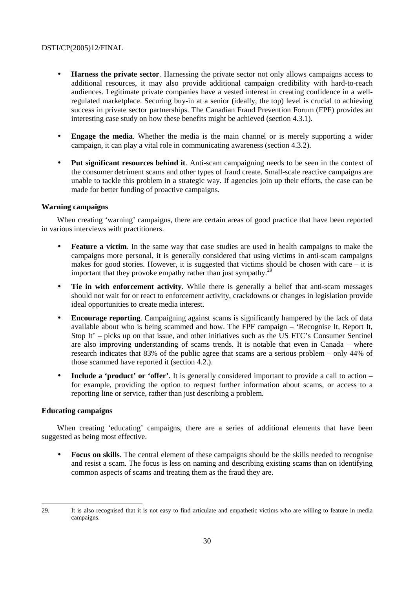- **Harness the private sector**. Harnessing the private sector not only allows campaigns access to additional resources, it may also provide additional campaign credibility with hard-to-reach audiences. Legitimate private companies have a vested interest in creating confidence in a wellregulated marketplace. Securing buy-in at a senior (ideally, the top) level is crucial to achieving success in private sector partnerships. The Canadian Fraud Prevention Forum (FPF) provides an interesting case study on how these benefits might be achieved (section 4.3.1).
- **Engage the media**. Whether the media is the main channel or is merely supporting a wider campaign, it can play a vital role in communicating awareness (section 4.3.2).
- **Put significant resources behind it**. Anti-scam campaigning needs to be seen in the context of the consumer detriment scams and other types of fraud create. Small-scale reactive campaigns are unable to tackle this problem in a strategic way. If agencies join up their efforts, the case can be made for better funding of proactive campaigns.

### **Warning campaigns**

When creating 'warning' campaigns, there are certain areas of good practice that have been reported in various interviews with practitioners.

- **Feature a victim**. In the same way that case studies are used in health campaigns to make the campaigns more personal, it is generally considered that using victims in anti-scam campaigns makes for good stories. However, it is suggested that victims should be chosen with care – it is important that they provoke empathy rather than just sympathy.<sup>29</sup>
- **Tie in with enforcement activity**. While there is generally a belief that anti-scam messages should not wait for or react to enforcement activity, crackdowns or changes in legislation provide ideal opportunities to create media interest.
- **Encourage reporting.** Campaigning against scams is significantly hampered by the lack of data available about who is being scammed and how. The FPF campaign – 'Recognise It, Report It, Stop It' – picks up on that issue, and other initiatives such as the US FTC's Consumer Sentinel are also improving understanding of scams trends. It is notable that even in Canada – where research indicates that 83% of the public agree that scams are a serious problem – only 44% of those scammed have reported it (section 4.2.).
- **Include a 'product' or 'offer'**. It is generally considered important to provide a call to action for example, providing the option to request further information about scams, or access to a reporting line or service, rather than just describing a problem.

#### **Educating campaigns**

When creating 'educating' campaigns, there are a series of additional elements that have been suggested as being most effective.

• **Focus on skills**. The central element of these campaigns should be the skills needed to recognise and resist a scam. The focus is less on naming and describing existing scams than on identifying common aspects of scams and treating them as the fraud they are.

 $\overline{a}$ 29. It is also recognised that it is not easy to find articulate and empathetic victims who are willing to feature in media campaigns.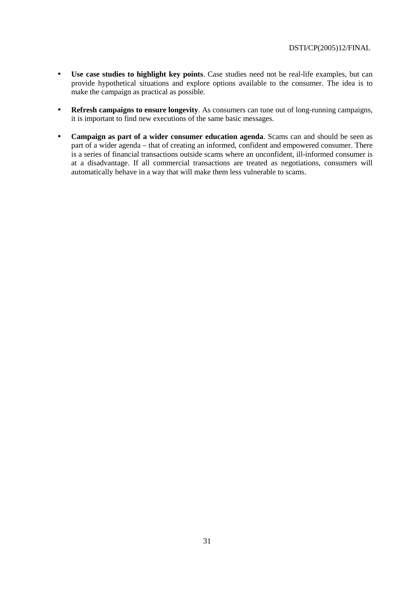- **Use case studies to highlight key points**. Case studies need not be real-life examples, but can provide hypothetical situations and explore options available to the consumer. The idea is to make the campaign as practical as possible.
- **Refresh campaigns to ensure longevity**. As consumers can tune out of long-running campaigns, it is important to find new executions of the same basic messages.
- **Campaign as part of a wider consumer education agenda**. Scams can and should be seen as part of a wider agenda – that of creating an informed, confident and empowered consumer. There is a series of financial transactions outside scams where an unconfident, ill-informed consumer is at a disadvantage. If all commercial transactions are treated as negotiations, consumers will automatically behave in a way that will make them less vulnerable to scams.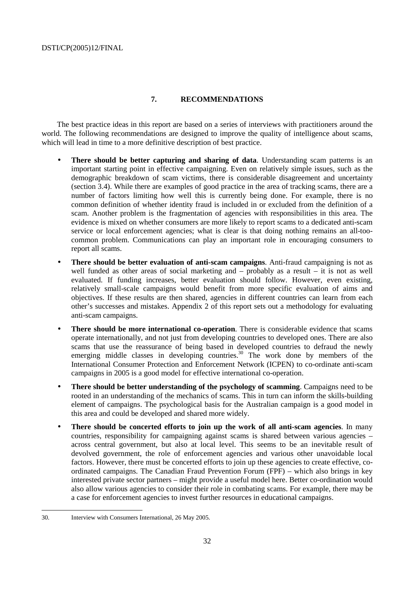### **7. RECOMMENDATIONS**

The best practice ideas in this report are based on a series of interviews with practitioners around the world. The following recommendations are designed to improve the quality of intelligence about scams, which will lead in time to a more definitive description of best practice.

- **There should be better capturing and sharing of data**. Understanding scam patterns is an important starting point in effective campaigning. Even on relatively simple issues, such as the demographic breakdown of scam victims, there is considerable disagreement and uncertainty (section 3.4). While there are examples of good practice in the area of tracking scams, there are a number of factors limiting how well this is currently being done. For example, there is no common definition of whether identity fraud is included in or excluded from the definition of a scam. Another problem is the fragmentation of agencies with responsibilities in this area. The evidence is mixed on whether consumers are more likely to report scams to a dedicated anti-scam service or local enforcement agencies; what is clear is that doing nothing remains an all-toocommon problem. Communications can play an important role in encouraging consumers to report all scams.
- **There should be better evaluation of anti-scam campaigns**. Anti-fraud campaigning is not as well funded as other areas of social marketing and – probably as a result – it is not as well evaluated. If funding increases, better evaluation should follow. However, even existing, relatively small-scale campaigns would benefit from more specific evaluation of aims and objectives. If these results are then shared, agencies in different countries can learn from each other's successes and mistakes. Appendix 2 of this report sets out a methodology for evaluating anti-scam campaigns.
- **There should be more international co-operation**. There is considerable evidence that scams operate internationally, and not just from developing countries to developed ones. There are also scams that use the reassurance of being based in developed countries to defraud the newly emerging middle classes in developing countries.<sup>30</sup> The work done by members of the International Consumer Protection and Enforcement Network (ICPEN) to co-ordinate anti-scam campaigns in 2005 is a good model for effective international co-operation.
- **There should be better understanding of the psychology of scamming**. Campaigns need to be rooted in an understanding of the mechanics of scams. This in turn can inform the skills-building element of campaigns. The psychological basis for the Australian campaign is a good model in this area and could be developed and shared more widely.
- **There should be concerted efforts to join up the work of all anti-scam agencies**. In many countries, responsibility for campaigning against scams is shared between various agencies – across central government, but also at local level. This seems to be an inevitable result of devolved government, the role of enforcement agencies and various other unavoidable local factors. However, there must be concerted efforts to join up these agencies to create effective, coordinated campaigns. The Canadian Fraud Prevention Forum (FPF) – which also brings in key interested private sector partners – might provide a useful model here. Better co-ordination would also allow various agencies to consider their role in combating scams. For example, there may be a case for enforcement agencies to invest further resources in educational campaigns.

 $\overline{a}$ 30. Interview with Consumers International, 26 May 2005.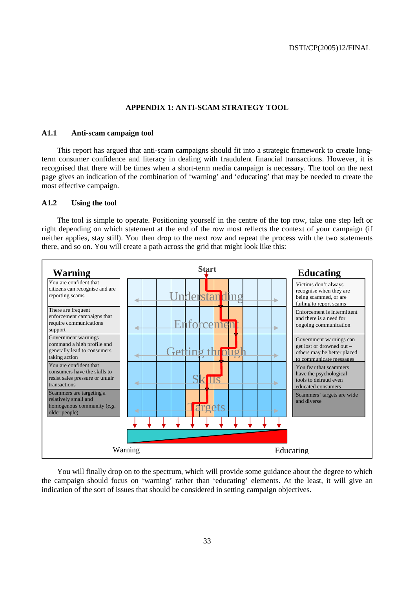#### **APPENDIX 1: ANTI-SCAM STRATEGY TOOL**

#### **A1.1 Anti-scam campaign tool**

This report has argued that anti-scam campaigns should fit into a strategic framework to create longterm consumer confidence and literacy in dealing with fraudulent financial transactions. However, it is recognised that there will be times when a short-term media campaign is necessary. The tool on the next page gives an indication of the combination of 'warning' and 'educating' that may be needed to create the most effective campaign.

#### **A1.2 Using the tool**

The tool is simple to operate. Positioning yourself in the centre of the top row, take one step left or right depending on which statement at the end of the row most reflects the context of your campaign (if neither applies, stay still). You then drop to the next row and repeat the process with the two statements there, and so on. You will create a path across the grid that might look like this:



You will finally drop on to the spectrum, which will provide some guidance about the degree to which the campaign should focus on 'warning' rather than 'educating' elements. At the least, it will give an indication of the sort of issues that should be considered in setting campaign objectives.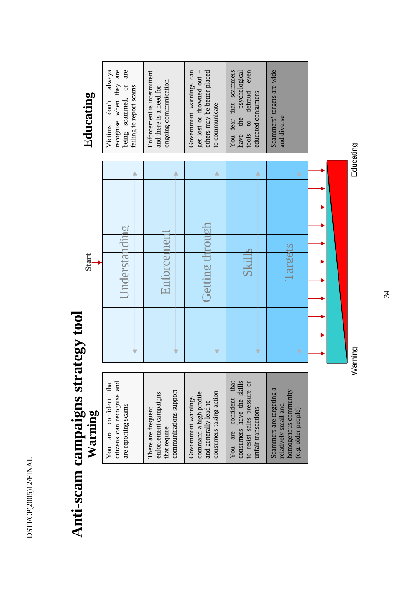DSTI/CP(2005)12/FINAL DSTI/CP(2005)12/FINAL

# **Anti-scam campaigns strategy tool**  Anti-scam campaigns strategy tool

| that<br>citizens can recognise and<br>confident<br>are reporting scams<br>are<br>You | communications support<br>enforcement campaigns<br>There are frequent<br>that require | consumers taking action<br>command a high profile<br>Government warnings<br>and generally lead to | consumers have the skills<br>that<br>to resist sales pressure or<br>confident<br>unfair transactions<br>are<br>You | Scammers are targeting a<br>homogenous community<br>relatively small and<br>(e.g. older people) |
|--------------------------------------------------------------------------------------|---------------------------------------------------------------------------------------|---------------------------------------------------------------------------------------------------|--------------------------------------------------------------------------------------------------------------------|-------------------------------------------------------------------------------------------------|

Educating **Educating** 

| Warning<br>Warning                                                                                                 | Start<br>)<br>Q      | Educating                                                                                                                       |
|--------------------------------------------------------------------------------------------------------------------|----------------------|---------------------------------------------------------------------------------------------------------------------------------|
| that<br>citizens can recognise and<br>You are confident<br>are reporting scams                                     | Jnderstanding        | are<br>recognise when they are<br>always<br>scammed, or<br>failing to report scams<br>$\text{dom}^{\star}t$<br>Victims<br>being |
| communications support<br>enforcement campaigns<br>There are frequent<br>that require                              | rcement              | Enforcement is intermittent<br>ongoing communication<br>and there is a need for                                                 |
| consumers taking action<br>command a high profile<br>Government warnings<br>and generally lead to                  | Getting through      | others may be better placed<br>Government warnings can<br>get lost or drowned out -<br>to communicate                           |
| consumers have the skills<br>to resist sales pressure or<br>that<br>confident<br>unfair transactions<br>are<br>You | 4<br>v               | You fear that scammers<br>even<br>the psychological<br>defraud<br>educated consumers<br>$\circ$<br>tools<br>have                |
| Scammers are targeting a<br>homogenous community<br>relatively small and<br>(e.g. older people)                    | urgets<br>$\Xi$<br>Ý | Scammers' targets are wide<br>and diverse                                                                                       |
|                                                                                                                    |                      |                                                                                                                                 |
|                                                                                                                    | Warning              | Educating                                                                                                                       |

34  $344$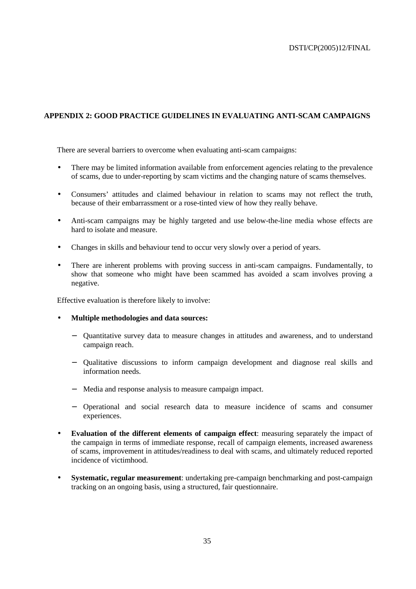# **APPENDIX 2: GOOD PRACTICE GUIDELINES IN EVALUATING ANTI-SCAM CAMPAIGNS**

There are several barriers to overcome when evaluating anti-scam campaigns:

- There may be limited information available from enforcement agencies relating to the prevalence of scams, due to under-reporting by scam victims and the changing nature of scams themselves.
- Consumers' attitudes and claimed behaviour in relation to scams may not reflect the truth, because of their embarrassment or a rose-tinted view of how they really behave.
- Anti-scam campaigns may be highly targeted and use below-the-line media whose effects are hard to isolate and measure.
- Changes in skills and behaviour tend to occur very slowly over a period of years.
- There are inherent problems with proving success in anti-scam campaigns. Fundamentally, to show that someone who might have been scammed has avoided a scam involves proving a negative.

Effective evaluation is therefore likely to involve:

- **Multiple methodologies and data sources:** 
	- − Quantitative survey data to measure changes in attitudes and awareness, and to understand campaign reach.
	- − Qualitative discussions to inform campaign development and diagnose real skills and information needs.
	- − Media and response analysis to measure campaign impact.
	- − Operational and social research data to measure incidence of scams and consumer experiences.
- **Evaluation of the different elements of campaign effect**: measuring separately the impact of the campaign in terms of immediate response, recall of campaign elements, increased awareness of scams, improvement in attitudes/readiness to deal with scams, and ultimately reduced reported incidence of victimhood.
- **Systematic, regular measurement**: undertaking pre-campaign benchmarking and post-campaign tracking on an ongoing basis, using a structured, fair questionnaire.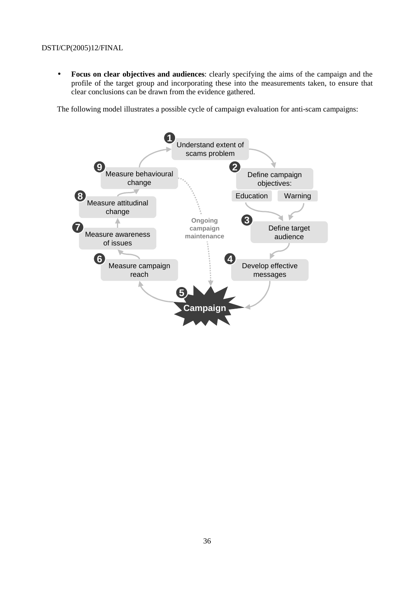• **Focus on clear objectives and audiences**: clearly specifying the aims of the campaign and the profile of the target group and incorporating these into the measurements taken, to ensure that clear conclusions can be drawn from the evidence gathered.

The following model illustrates a possible cycle of campaign evaluation for anti-scam campaigns: